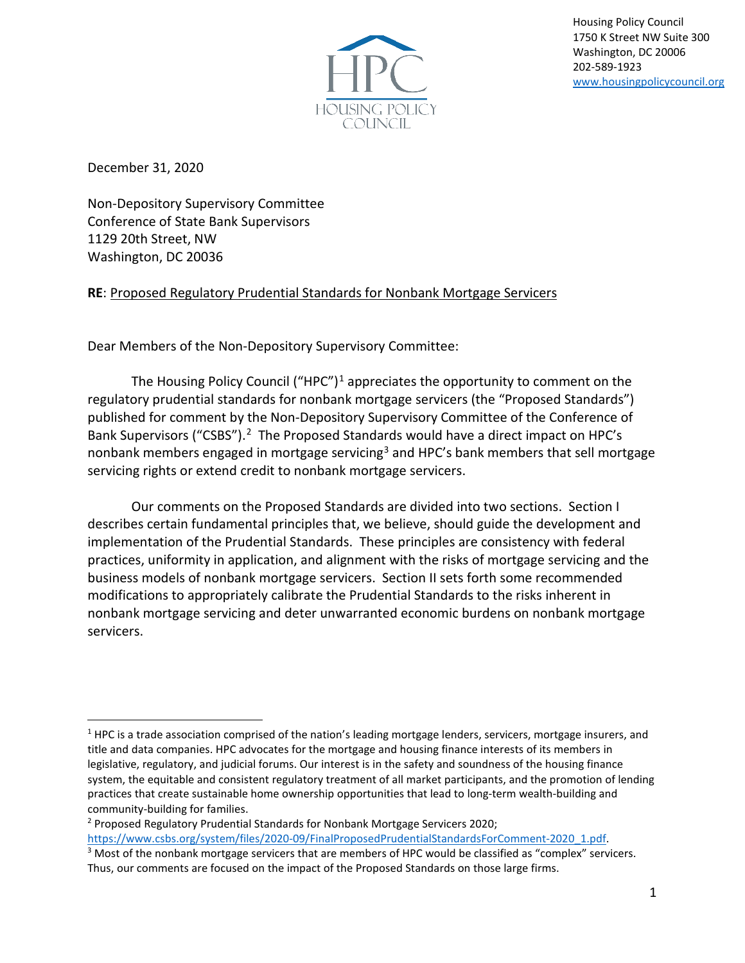

Housing Policy Council 1750 K Street NW Suite 300 Washington, DC 20006 202-589-1923 [www.housingpolicycouncil.org](http://www.housingpolicycouncil.org/)

December 31, 2020

Non-Depository Supervisory Committee Conference of State Bank Supervisors 1129 20th Street, NW Washington, DC 20036

# **RE**: Proposed Regulatory Prudential Standards for Nonbank Mortgage Servicers

Dear Members of the Non-Depository Supervisory Committee:

The Housing Policy Council ("HPC")<sup>[1](#page-0-0)</sup> appreciates the opportunity to comment on the regulatory prudential standards for nonbank mortgage servicers (the "Proposed Standards") published for comment by the Non-Depository Supervisory Committee of the Conference of Bank Supervisors ("CSBS").<sup>[2](#page-0-1)</sup> The Proposed Standards would have a direct impact on HPC's nonbank members engaged in mortgage servicing<sup>[3](#page-0-2)</sup> and HPC's bank members that sell mortgage servicing rights or extend credit to nonbank mortgage servicers.

Our comments on the Proposed Standards are divided into two sections. Section I describes certain fundamental principles that, we believe, should guide the development and implementation of the Prudential Standards. These principles are consistency with federal practices, uniformity in application, and alignment with the risks of mortgage servicing and the business models of nonbank mortgage servicers. Section II sets forth some recommended modifications to appropriately calibrate the Prudential Standards to the risks inherent in nonbank mortgage servicing and deter unwarranted economic burdens on nonbank mortgage servicers.

<span id="page-0-0"></span> $1$  HPC is a trade association comprised of the nation's leading mortgage lenders, servicers, mortgage insurers, and title and data companies. HPC advocates for the mortgage and housing finance interests of its members in legislative, regulatory, and judicial forums. Our interest is in the safety and soundness of the housing finance system, the equitable and consistent regulatory treatment of all market participants, and the promotion of lending practices that create sustainable home ownership opportunities that lead to long-term wealth-building and community-building for families.<br><sup>2</sup> Proposed Regulatory Prudential Standards for Nonbank Mortgage Servicers 2020;

<span id="page-0-1"></span>[https://www.csbs.org/system/files/2020-09/FinalProposedPrudentialStandardsForComment-2020\\_1.pdf.](https://www.csbs.org/system/files/2020-09/FinalProposedPrudentialStandardsForComment-2020_1.pdf) 3 Most of the nonbank mortgage servicers that are members of HPC would be classified as "complex" servicers.

<span id="page-0-2"></span>Thus, our comments are focused on the impact of the Proposed Standards on those large firms.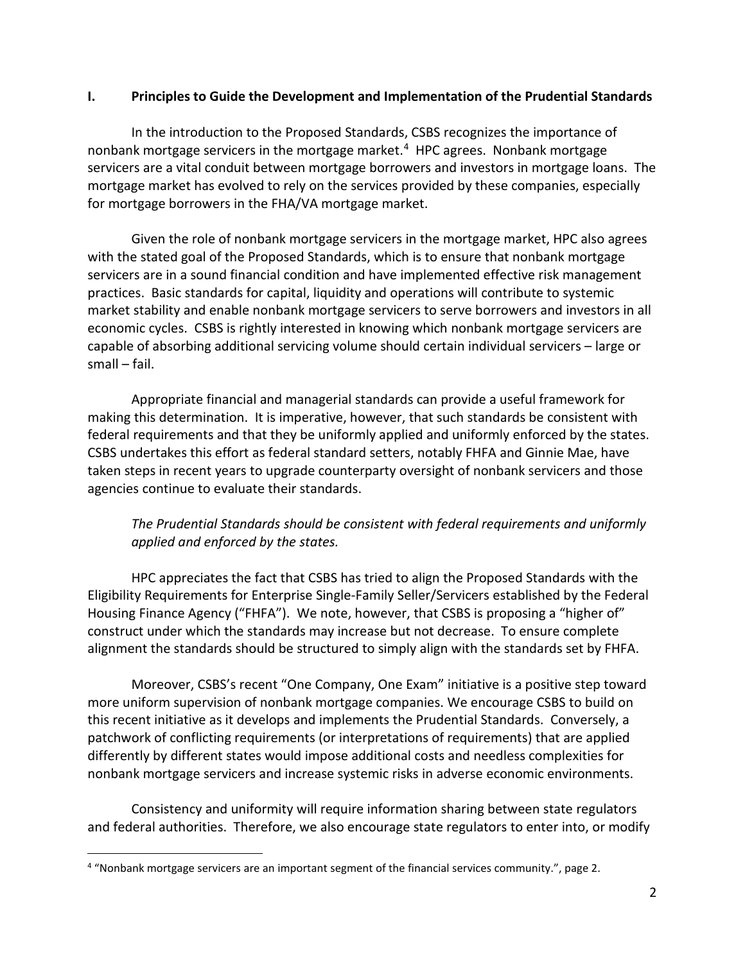### **I. Principles to Guide the Development and Implementation of the Prudential Standards**

In the introduction to the Proposed Standards, CSBS recognizes the importance of nonbank mortgage servicers in the mortgage market.<sup>[4](#page-1-0)</sup> HPC agrees. Nonbank mortgage servicers are a vital conduit between mortgage borrowers and investors in mortgage loans. The mortgage market has evolved to rely on the services provided by these companies, especially for mortgage borrowers in the FHA/VA mortgage market.

Given the role of nonbank mortgage servicers in the mortgage market, HPC also agrees with the stated goal of the Proposed Standards, which is to ensure that nonbank mortgage servicers are in a sound financial condition and have implemented effective risk management practices. Basic standards for capital, liquidity and operations will contribute to systemic market stability and enable nonbank mortgage servicers to serve borrowers and investors in all economic cycles. CSBS is rightly interested in knowing which nonbank mortgage servicers are capable of absorbing additional servicing volume should certain individual servicers – large or small – fail.

Appropriate financial and managerial standards can provide a useful framework for making this determination. It is imperative, however, that such standards be consistent with federal requirements and that they be uniformly applied and uniformly enforced by the states. CSBS undertakes this effort as federal standard setters, notably FHFA and Ginnie Mae, have taken steps in recent years to upgrade counterparty oversight of nonbank servicers and those agencies continue to evaluate their standards.

# *The Prudential Standards should be consistent with federal requirements and uniformly applied and enforced by the states.*

HPC appreciates the fact that CSBS has tried to align the Proposed Standards with the Eligibility Requirements for Enterprise Single-Family Seller/Servicers established by the Federal Housing Finance Agency ("FHFA"). We note, however, that CSBS is proposing a "higher of" construct under which the standards may increase but not decrease. To ensure complete alignment the standards should be structured to simply align with the standards set by FHFA.

Moreover, CSBS's recent "One Company, One Exam" initiative is a positive step toward more uniform supervision of nonbank mortgage companies. We encourage CSBS to build on this recent initiative as it develops and implements the Prudential Standards. Conversely, a patchwork of conflicting requirements (or interpretations of requirements) that are applied differently by different states would impose additional costs and needless complexities for nonbank mortgage servicers and increase systemic risks in adverse economic environments.

Consistency and uniformity will require information sharing between state regulators and federal authorities. Therefore, we also encourage state regulators to enter into, or modify

<span id="page-1-0"></span><sup>4</sup> "Nonbank mortgage servicers are an important segment of the financial services community.", page 2.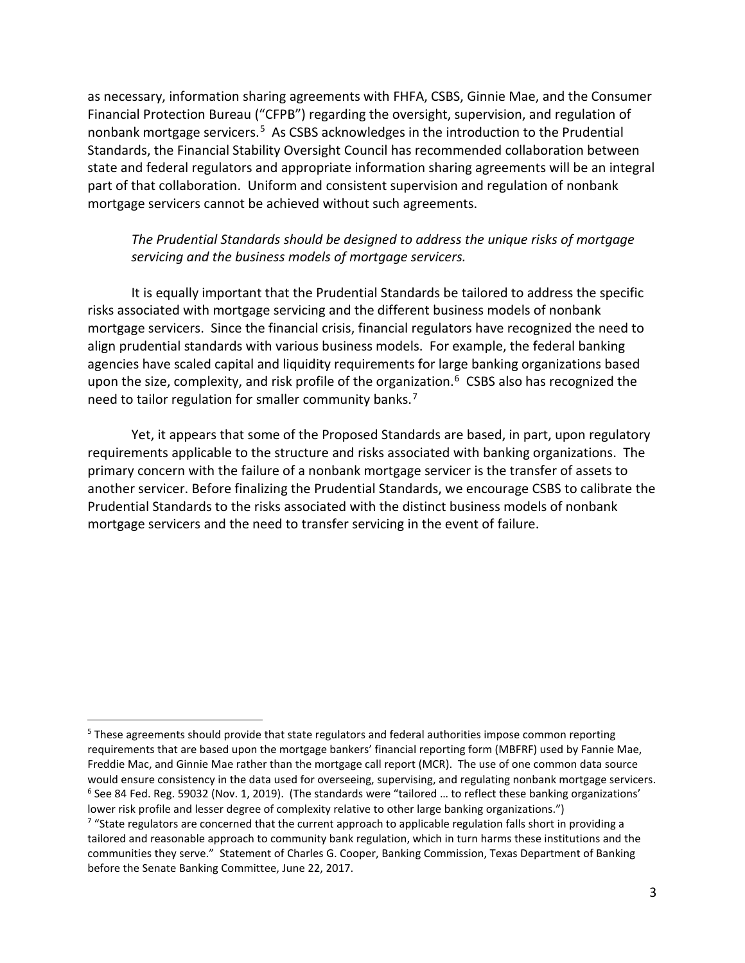as necessary, information sharing agreements with FHFA, CSBS, Ginnie Mae, and the Consumer Financial Protection Bureau ("CFPB") regarding the oversight, supervision, and regulation of nonbank mortgage servicers.<sup>[5](#page-2-0)</sup> As CSBS acknowledges in the introduction to the Prudential Standards, the Financial Stability Oversight Council has recommended collaboration between state and federal regulators and appropriate information sharing agreements will be an integral part of that collaboration. Uniform and consistent supervision and regulation of nonbank mortgage servicers cannot be achieved without such agreements.

### *The Prudential Standards should be designed to address the unique risks of mortgage servicing and the business models of mortgage servicers.*

It is equally important that the Prudential Standards be tailored to address the specific risks associated with mortgage servicing and the different business models of nonbank mortgage servicers. Since the financial crisis, financial regulators have recognized the need to align prudential standards with various business models. For example, the federal banking agencies have scaled capital and liquidity requirements for large banking organizations based upon the size, complexity, and risk profile of the organization. $6$  CSBS also has recognized the need to tailor regulation for smaller community banks.<sup>[7](#page-2-2)</sup>

Yet, it appears that some of the Proposed Standards are based, in part, upon regulatory requirements applicable to the structure and risks associated with banking organizations. The primary concern with the failure of a nonbank mortgage servicer is the transfer of assets to another servicer. Before finalizing the Prudential Standards, we encourage CSBS to calibrate the Prudential Standards to the risks associated with the distinct business models of nonbank mortgage servicers and the need to transfer servicing in the event of failure.

<span id="page-2-0"></span><sup>&</sup>lt;sup>5</sup> These agreements should provide that state regulators and federal authorities impose common reporting requirements that are based upon the mortgage bankers' financial reporting form (MBFRF) used by Fannie Mae, Freddie Mac, and Ginnie Mae rather than the mortgage call report (MCR). The use of one common data source would ensure consistency in the data used for overseeing, supervising, and regulating nonbank mortgage servicers.<br><sup>6</sup> See 84 Fed. Reg. 59032 (Nov. 1, 2019). (The standards were "tailored ... to reflect these banking organi lower risk profile and lesser degree of complexity relative to other large banking organizations.")

<span id="page-2-2"></span><span id="page-2-1"></span> $7$  "State regulators are concerned that the current approach to applicable regulation falls short in providing a tailored and reasonable approach to community bank regulation, which in turn harms these institutions and the communities they serve." Statement of Charles G. Cooper, Banking Commission, Texas Department of Banking before the Senate Banking Committee, June 22, 2017.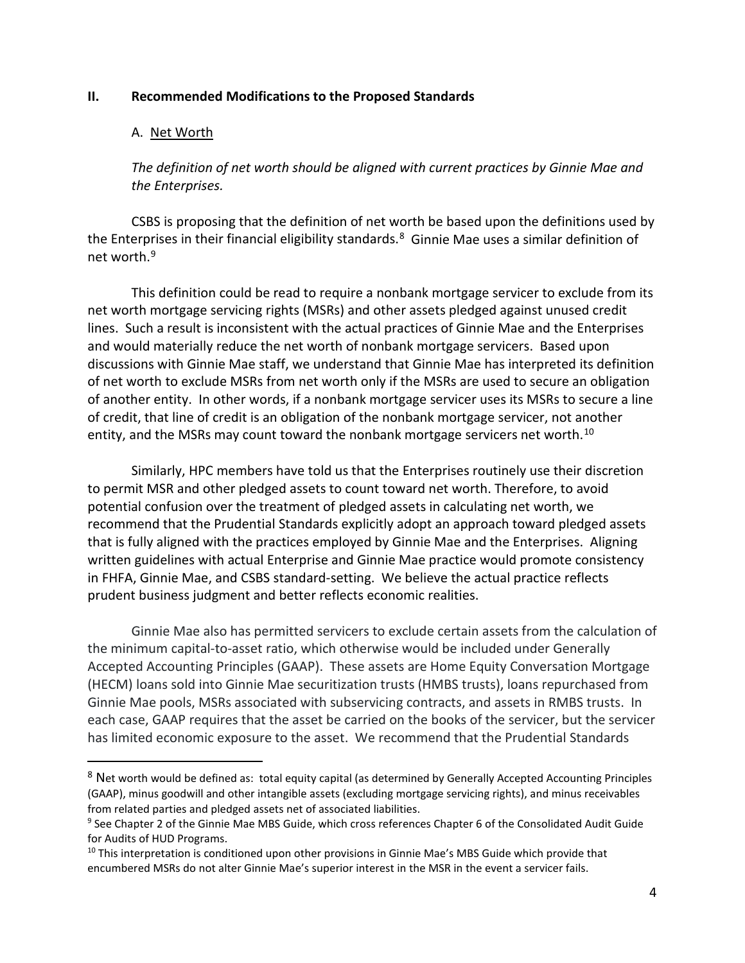#### **II. Recommended Modifications to the Proposed Standards**

#### A. Net Worth

*The definition of net worth should be aligned with current practices by Ginnie Mae and the Enterprises.* 

CSBS is proposing that the definition of net worth be based upon the definitions used by the Enterprises in their financial eligibility standards.<sup>[8](#page-3-0)</sup> Ginnie Mae uses a similar definition of net worth.[9](#page-3-1)

This definition could be read to require a nonbank mortgage servicer to exclude from its net worth mortgage servicing rights (MSRs) and other assets pledged against unused credit lines. Such a result is inconsistent with the actual practices of Ginnie Mae and the Enterprises and would materially reduce the net worth of nonbank mortgage servicers. Based upon discussions with Ginnie Mae staff, we understand that Ginnie Mae has interpreted its definition of net worth to exclude MSRs from net worth only if the MSRs are used to secure an obligation of another entity. In other words, if a nonbank mortgage servicer uses its MSRs to secure a line of credit, that line of credit is an obligation of the nonbank mortgage servicer, not another entity, and the MSRs may count toward the nonbank mortgage servicers net worth.<sup>[10](#page-3-2)</sup>

Similarly, HPC members have told us that the Enterprises routinely use their discretion to permit MSR and other pledged assets to count toward net worth. Therefore, to avoid potential confusion over the treatment of pledged assets in calculating net worth, we recommend that the Prudential Standards explicitly adopt an approach toward pledged assets that is fully aligned with the practices employed by Ginnie Mae and the Enterprises. Aligning written guidelines with actual Enterprise and Ginnie Mae practice would promote consistency in FHFA, Ginnie Mae, and CSBS standard-setting. We believe the actual practice reflects prudent business judgment and better reflects economic realities.

Ginnie Mae also has permitted servicers to exclude certain assets from the calculation of the minimum capital-to-asset ratio, which otherwise would be included under Generally Accepted Accounting Principles (GAAP). These assets are Home Equity Conversation Mortgage (HECM) loans sold into Ginnie Mae securitization trusts (HMBS trusts), loans repurchased from Ginnie Mae pools, MSRs associated with subservicing contracts, and assets in RMBS trusts. In each case, GAAP requires that the asset be carried on the books of the servicer, but the servicer has limited economic exposure to the asset. We recommend that the Prudential Standards

<span id="page-3-0"></span><sup>8</sup> Net worth would be defined as: total equity capital (as determined by Generally Accepted Accounting Principles (GAAP), minus goodwill and other intangible assets (excluding mortgage servicing rights), and minus receivables from related parties and pledged assets net of associated liabilities.

<span id="page-3-1"></span><sup>9</sup> See Chapter 2 of the Ginnie Mae MBS Guide, which cross references Chapter 6 of the Consolidated Audit Guide for Audits of HUD Programs.<br><sup>10</sup> This interpretation is conditioned upon other provisions in Ginnie Mae's MBS Guide which provide that

<span id="page-3-2"></span>encumbered MSRs do not alter Ginnie Mae's superior interest in the MSR in the event a servicer fails.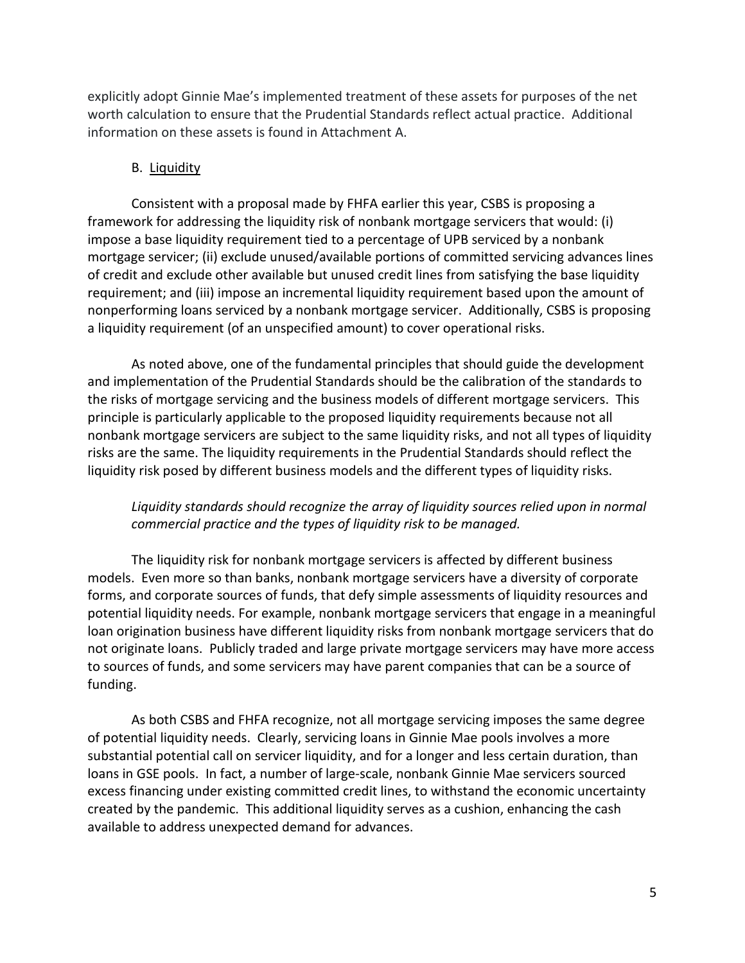explicitly adopt Ginnie Mae's implemented treatment of these assets for purposes of the net worth calculation to ensure that the Prudential Standards reflect actual practice. Additional information on these assets is found in Attachment A.

#### B. Liquidity

Consistent with a proposal made by FHFA earlier this year, CSBS is proposing a framework for addressing the liquidity risk of nonbank mortgage servicers that would: (i) impose a base liquidity requirement tied to a percentage of UPB serviced by a nonbank mortgage servicer; (ii) exclude unused/available portions of committed servicing advances lines of credit and exclude other available but unused credit lines from satisfying the base liquidity requirement; and (iii) impose an incremental liquidity requirement based upon the amount of nonperforming loans serviced by a nonbank mortgage servicer. Additionally, CSBS is proposing a liquidity requirement (of an unspecified amount) to cover operational risks.

As noted above, one of the fundamental principles that should guide the development and implementation of the Prudential Standards should be the calibration of the standards to the risks of mortgage servicing and the business models of different mortgage servicers. This principle is particularly applicable to the proposed liquidity requirements because not all nonbank mortgage servicers are subject to the same liquidity risks, and not all types of liquidity risks are the same. The liquidity requirements in the Prudential Standards should reflect the liquidity risk posed by different business models and the different types of liquidity risks.

# *Liquidity standards should recognize the array of liquidity sources relied upon in normal commercial practice and the types of liquidity risk to be managed.*

The liquidity risk for nonbank mortgage servicers is affected by different business models. Even more so than banks, nonbank mortgage servicers have a diversity of corporate forms, and corporate sources of funds, that defy simple assessments of liquidity resources and potential liquidity needs. For example, nonbank mortgage servicers that engage in a meaningful loan origination business have different liquidity risks from nonbank mortgage servicers that do not originate loans. Publicly traded and large private mortgage servicers may have more access to sources of funds, and some servicers may have parent companies that can be a source of funding.

As both CSBS and FHFA recognize, not all mortgage servicing imposes the same degree of potential liquidity needs. Clearly, servicing loans in Ginnie Mae pools involves a more substantial potential call on servicer liquidity, and for a longer and less certain duration, than loans in GSE pools. In fact, a number of large-scale, nonbank Ginnie Mae servicers sourced excess financing under existing committed credit lines, to withstand the economic uncertainty created by the pandemic. This additional liquidity serves as a cushion, enhancing the cash available to address unexpected demand for advances.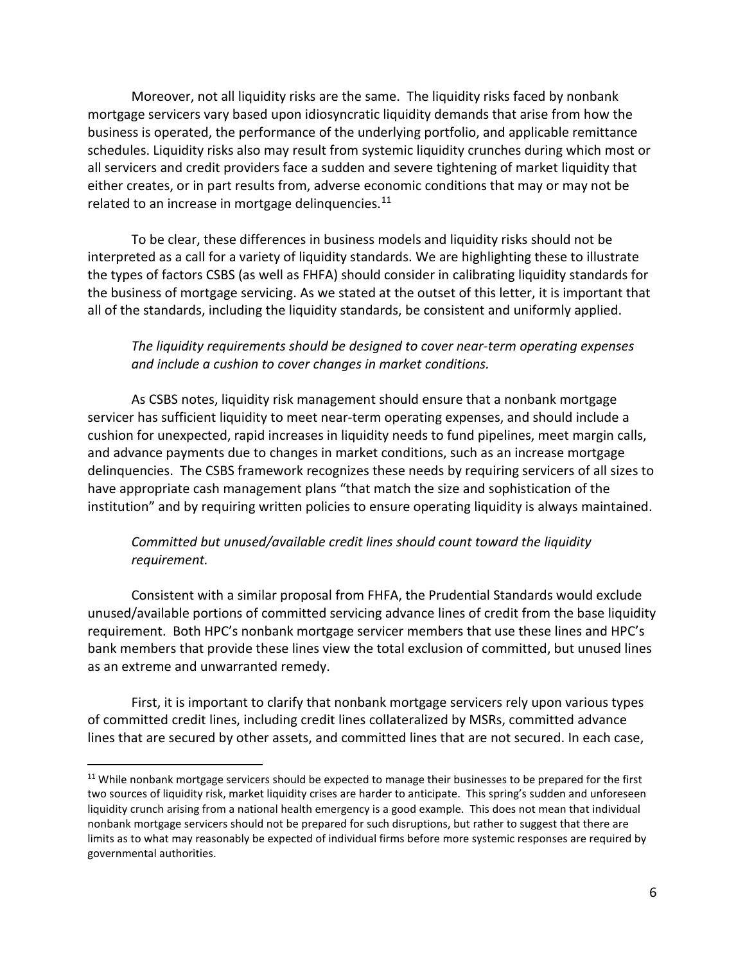Moreover, not all liquidity risks are the same. The liquidity risks faced by nonbank mortgage servicers vary based upon idiosyncratic liquidity demands that arise from how the business is operated, the performance of the underlying portfolio, and applicable remittance schedules. Liquidity risks also may result from systemic liquidity crunches during which most or all servicers and credit providers face a sudden and severe tightening of market liquidity that either creates, or in part results from, adverse economic conditions that may or may not be related to an increase in mortgage delinquencies.<sup>[11](#page-5-0)</sup>

To be clear, these differences in business models and liquidity risks should not be interpreted as a call for a variety of liquidity standards. We are highlighting these to illustrate the types of factors CSBS (as well as FHFA) should consider in calibrating liquidity standards for the business of mortgage servicing. As we stated at the outset of this letter, it is important that all of the standards, including the liquidity standards, be consistent and uniformly applied.

# *The liquidity requirements should be designed to cover near-term operating expenses and include a cushion to cover changes in market conditions.*

As CSBS notes, liquidity risk management should ensure that a nonbank mortgage servicer has sufficient liquidity to meet near-term operating expenses, and should include a cushion for unexpected, rapid increases in liquidity needs to fund pipelines, meet margin calls, and advance payments due to changes in market conditions, such as an increase mortgage delinquencies. The CSBS framework recognizes these needs by requiring servicers of all sizes to have appropriate cash management plans "that match the size and sophistication of the institution" and by requiring written policies to ensure operating liquidity is always maintained.

# *Committed but unused/available credit lines should count toward the liquidity requirement.*

Consistent with a similar proposal from FHFA, the Prudential Standards would exclude unused/available portions of committed servicing advance lines of credit from the base liquidity requirement. Both HPC's nonbank mortgage servicer members that use these lines and HPC's bank members that provide these lines view the total exclusion of committed, but unused lines as an extreme and unwarranted remedy.

First, it is important to clarify that nonbank mortgage servicers rely upon various types of committed credit lines, including credit lines collateralized by MSRs, committed advance lines that are secured by other assets, and committed lines that are not secured. In each case,

<span id="page-5-0"></span> $11$  While nonbank mortgage servicers should be expected to manage their businesses to be prepared for the first two sources of liquidity risk, market liquidity crises are harder to anticipate. This spring's sudden and unforeseen liquidity crunch arising from a national health emergency is a good example. This does not mean that individual nonbank mortgage servicers should not be prepared for such disruptions, but rather to suggest that there are limits as to what may reasonably be expected of individual firms before more systemic responses are required by governmental authorities.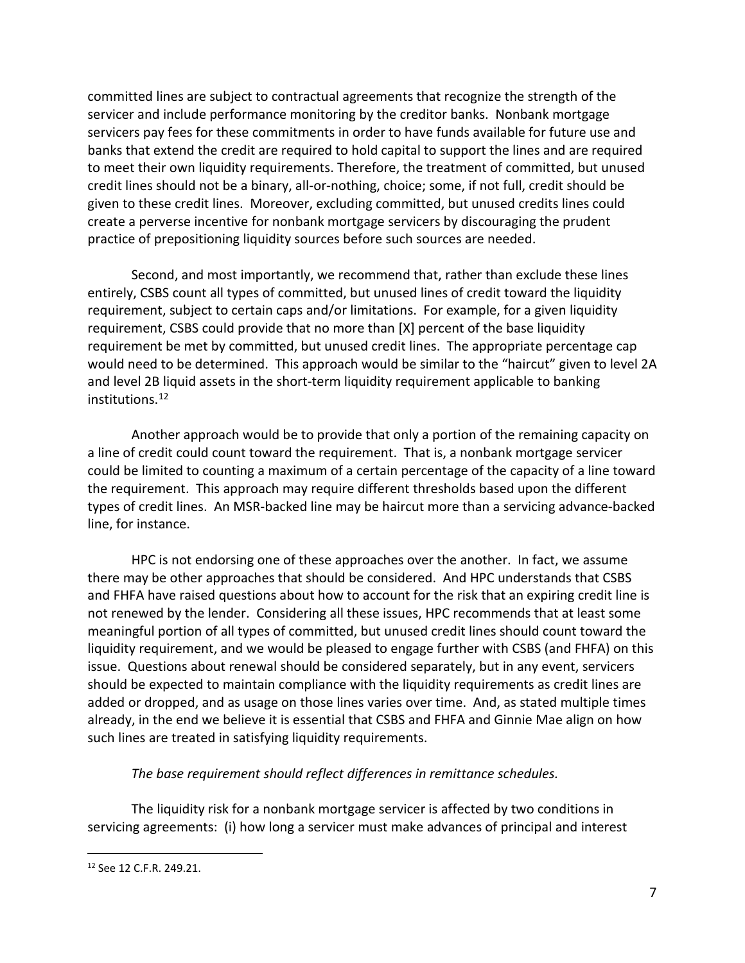committed lines are subject to contractual agreements that recognize the strength of the servicer and include performance monitoring by the creditor banks. Nonbank mortgage servicers pay fees for these commitments in order to have funds available for future use and banks that extend the credit are required to hold capital to support the lines and are required to meet their own liquidity requirements. Therefore, the treatment of committed, but unused credit lines should not be a binary, all-or-nothing, choice; some, if not full, credit should be given to these credit lines. Moreover, excluding committed, but unused credits lines could create a perverse incentive for nonbank mortgage servicers by discouraging the prudent practice of prepositioning liquidity sources before such sources are needed.

Second, and most importantly, we recommend that, rather than exclude these lines entirely, CSBS count all types of committed, but unused lines of credit toward the liquidity requirement, subject to certain caps and/or limitations. For example, for a given liquidity requirement, CSBS could provide that no more than [X] percent of the base liquidity requirement be met by committed, but unused credit lines. The appropriate percentage cap would need to be determined. This approach would be similar to the "haircut" given to level 2A and level 2B liquid assets in the short-term liquidity requirement applicable to banking institutions. [12](#page-6-0)

Another approach would be to provide that only a portion of the remaining capacity on a line of credit could count toward the requirement. That is, a nonbank mortgage servicer could be limited to counting a maximum of a certain percentage of the capacity of a line toward the requirement. This approach may require different thresholds based upon the different types of credit lines. An MSR-backed line may be haircut more than a servicing advance-backed line, for instance.

HPC is not endorsing one of these approaches over the another. In fact, we assume there may be other approaches that should be considered. And HPC understands that CSBS and FHFA have raised questions about how to account for the risk that an expiring credit line is not renewed by the lender. Considering all these issues, HPC recommends that at least some meaningful portion of all types of committed, but unused credit lines should count toward the liquidity requirement, and we would be pleased to engage further with CSBS (and FHFA) on this issue. Questions about renewal should be considered separately, but in any event, servicers should be expected to maintain compliance with the liquidity requirements as credit lines are added or dropped, and as usage on those lines varies over time. And, as stated multiple times already, in the end we believe it is essential that CSBS and FHFA and Ginnie Mae align on how such lines are treated in satisfying liquidity requirements.

# *The base requirement should reflect differences in remittance schedules.*

The liquidity risk for a nonbank mortgage servicer is affected by two conditions in servicing agreements: (i) how long a servicer must make advances of principal and interest

<span id="page-6-0"></span><sup>12</sup> See 12 C.F.R. 249.21.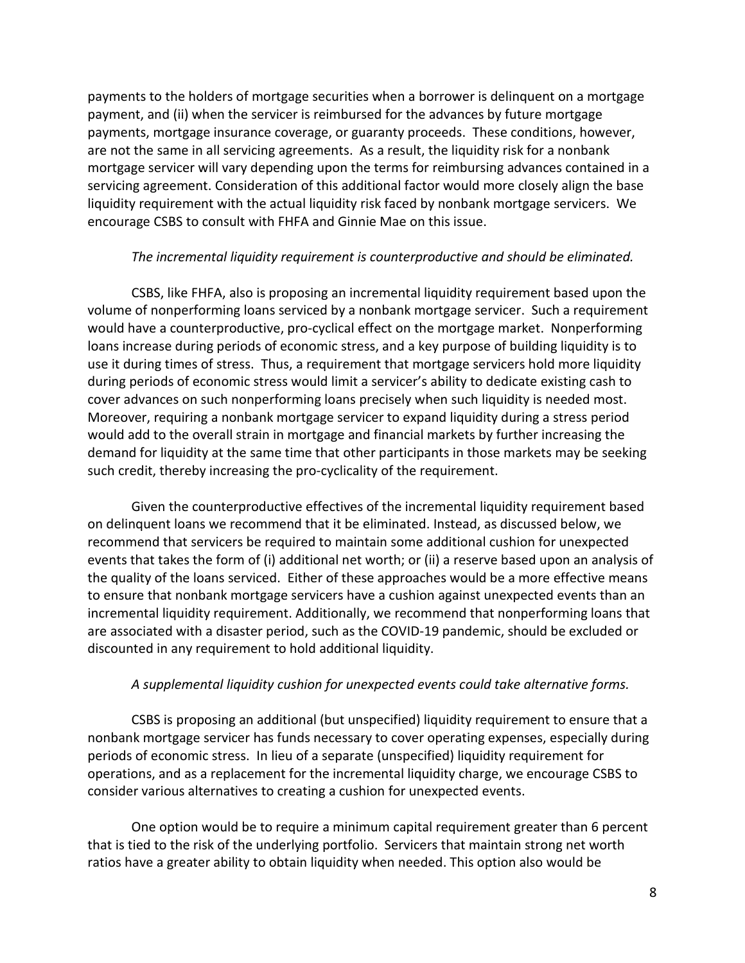payments to the holders of mortgage securities when a borrower is delinquent on a mortgage payment, and (ii) when the servicer is reimbursed for the advances by future mortgage payments, mortgage insurance coverage, or guaranty proceeds. These conditions, however, are not the same in all servicing agreements. As a result, the liquidity risk for a nonbank mortgage servicer will vary depending upon the terms for reimbursing advances contained in a servicing agreement. Consideration of this additional factor would more closely align the base liquidity requirement with the actual liquidity risk faced by nonbank mortgage servicers. We encourage CSBS to consult with FHFA and Ginnie Mae on this issue.

#### *The incremental liquidity requirement is counterproductive and should be eliminated.*

CSBS, like FHFA, also is proposing an incremental liquidity requirement based upon the volume of nonperforming loans serviced by a nonbank mortgage servicer. Such a requirement would have a counterproductive, pro-cyclical effect on the mortgage market. Nonperforming loans increase during periods of economic stress, and a key purpose of building liquidity is to use it during times of stress. Thus, a requirement that mortgage servicers hold more liquidity during periods of economic stress would limit a servicer's ability to dedicate existing cash to cover advances on such nonperforming loans precisely when such liquidity is needed most. Moreover, requiring a nonbank mortgage servicer to expand liquidity during a stress period would add to the overall strain in mortgage and financial markets by further increasing the demand for liquidity at the same time that other participants in those markets may be seeking such credit, thereby increasing the pro-cyclicality of the requirement.

Given the counterproductive effectives of the incremental liquidity requirement based on delinquent loans we recommend that it be eliminated. Instead, as discussed below, we recommend that servicers be required to maintain some additional cushion for unexpected events that takes the form of (i) additional net worth; or (ii) a reserve based upon an analysis of the quality of the loans serviced. Either of these approaches would be a more effective means to ensure that nonbank mortgage servicers have a cushion against unexpected events than an incremental liquidity requirement. Additionally, we recommend that nonperforming loans that are associated with a disaster period, such as the COVID-19 pandemic, should be excluded or discounted in any requirement to hold additional liquidity.

#### *A supplemental liquidity cushion for unexpected events could take alternative forms.*

CSBS is proposing an additional (but unspecified) liquidity requirement to ensure that a nonbank mortgage servicer has funds necessary to cover operating expenses, especially during periods of economic stress. In lieu of a separate (unspecified) liquidity requirement for operations, and as a replacement for the incremental liquidity charge, we encourage CSBS to consider various alternatives to creating a cushion for unexpected events.

One option would be to require a minimum capital requirement greater than 6 percent that is tied to the risk of the underlying portfolio. Servicers that maintain strong net worth ratios have a greater ability to obtain liquidity when needed. This option also would be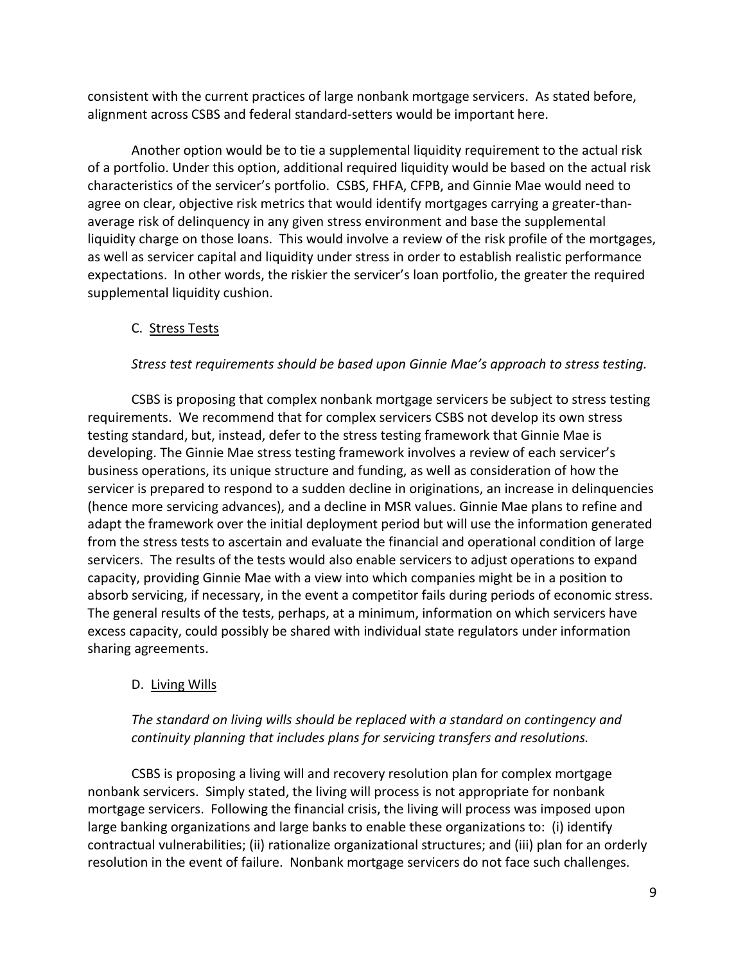consistent with the current practices of large nonbank mortgage servicers. As stated before, alignment across CSBS and federal standard-setters would be important here.

Another option would be to tie a supplemental liquidity requirement to the actual risk of a portfolio. Under this option, additional required liquidity would be based on the actual risk characteristics of the servicer's portfolio. CSBS, FHFA, CFPB, and Ginnie Mae would need to agree on clear, objective risk metrics that would identify mortgages carrying a greater-thanaverage risk of delinquency in any given stress environment and base the supplemental liquidity charge on those loans. This would involve a review of the risk profile of the mortgages, as well as servicer capital and liquidity under stress in order to establish realistic performance expectations. In other words, the riskier the servicer's loan portfolio, the greater the required supplemental liquidity cushion.

# C. Stress Tests

#### *Stress test requirements should be based upon Ginnie Mae's approach to stress testing.*

CSBS is proposing that complex nonbank mortgage servicers be subject to stress testing requirements. We recommend that for complex servicers CSBS not develop its own stress testing standard, but, instead, defer to the stress testing framework that Ginnie Mae is developing. The Ginnie Mae stress testing framework involves a review of each servicer's business operations, its unique structure and funding, as well as consideration of how the servicer is prepared to respond to a sudden decline in originations, an increase in delinquencies (hence more servicing advances), and a decline in MSR values. Ginnie Mae plans to refine and adapt the framework over the initial deployment period but will use the information generated from the stress tests to ascertain and evaluate the financial and operational condition of large servicers. The results of the tests would also enable servicers to adjust operations to expand capacity, providing Ginnie Mae with a view into which companies might be in a position to absorb servicing, if necessary, in the event a competitor fails during periods of economic stress. The general results of the tests, perhaps, at a minimum, information on which servicers have excess capacity, could possibly be shared with individual state regulators under information sharing agreements.

#### D. Living Wills

# *The standard on living wills should be replaced with a standard on contingency and continuity planning that includes plans for servicing transfers and resolutions.*

CSBS is proposing a living will and recovery resolution plan for complex mortgage nonbank servicers. Simply stated, the living will process is not appropriate for nonbank mortgage servicers. Following the financial crisis, the living will process was imposed upon large banking organizations and large banks to enable these organizations to: (i) identify contractual vulnerabilities; (ii) rationalize organizational structures; and (iii) plan for an orderly resolution in the event of failure. Nonbank mortgage servicers do not face such challenges.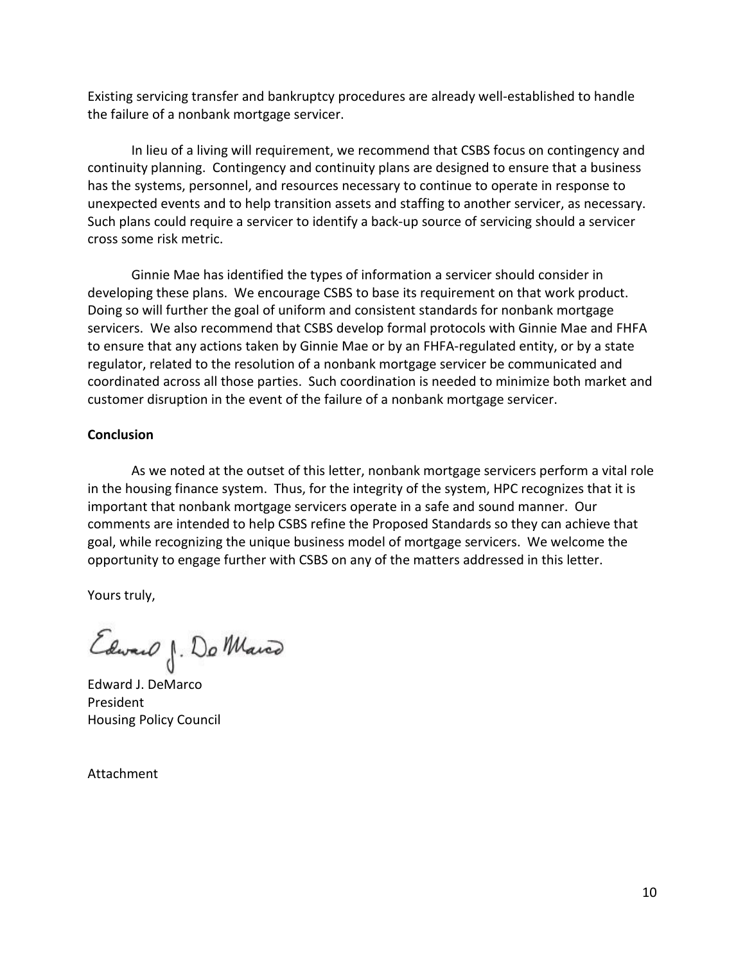Existing servicing transfer and bankruptcy procedures are already well-established to handle the failure of a nonbank mortgage servicer.

In lieu of a living will requirement, we recommend that CSBS focus on contingency and continuity planning. Contingency and continuity plans are designed to ensure that a business has the systems, personnel, and resources necessary to continue to operate in response to unexpected events and to help transition assets and staffing to another servicer, as necessary. Such plans could require a servicer to identify a back-up source of servicing should a servicer cross some risk metric.

Ginnie Mae has identified the types of information a servicer should consider in developing these plans. We encourage CSBS to base its requirement on that work product. Doing so will further the goal of uniform and consistent standards for nonbank mortgage servicers. We also recommend that CSBS develop formal protocols with Ginnie Mae and FHFA to ensure that any actions taken by Ginnie Mae or by an FHFA-regulated entity, or by a state regulator, related to the resolution of a nonbank mortgage servicer be communicated and coordinated across all those parties. Such coordination is needed to minimize both market and customer disruption in the event of the failure of a nonbank mortgage servicer.

### **Conclusion**

As we noted at the outset of this letter, nonbank mortgage servicers perform a vital role in the housing finance system. Thus, for the integrity of the system, HPC recognizes that it is important that nonbank mortgage servicers operate in a safe and sound manner. Our comments are intended to help CSBS refine the Proposed Standards so they can achieve that goal, while recognizing the unique business model of mortgage servicers. We welcome the opportunity to engage further with CSBS on any of the matters addressed in this letter.

Yours truly,

Edward J. Do Marco

Edward J. DeMarco President Housing Policy Council

Attachment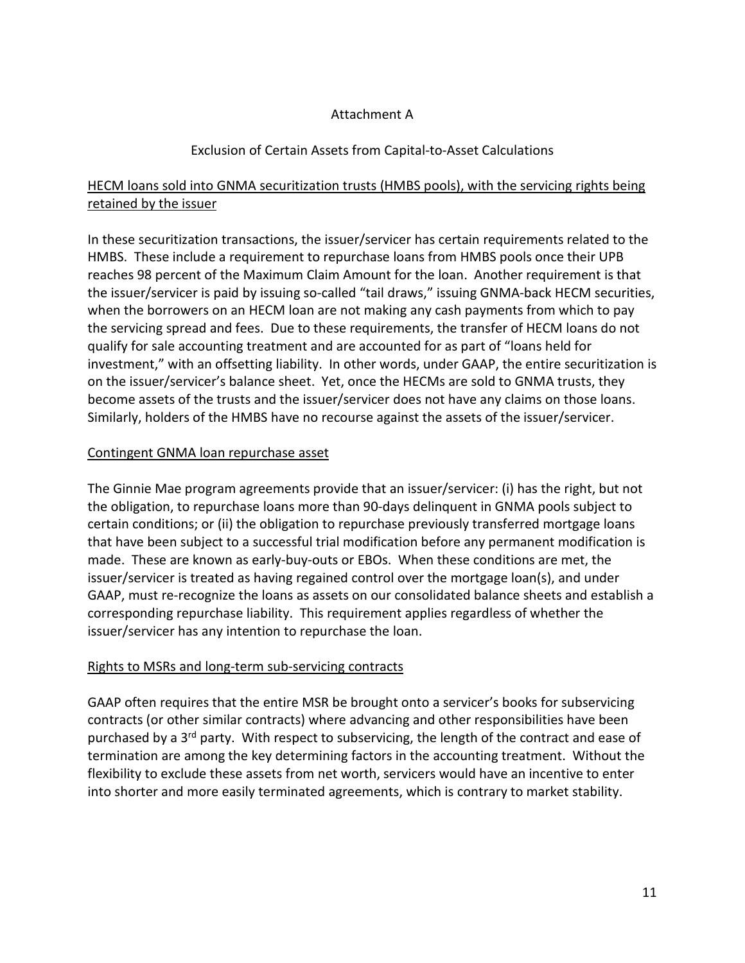### Attachment A

# Exclusion of Certain Assets from Capital-to-Asset Calculations

# HECM loans sold into GNMA securitization trusts (HMBS pools), with the servicing rights being retained by the issuer

In these securitization transactions, the issuer/servicer has certain requirements related to the HMBS. These include a requirement to repurchase loans from HMBS pools once their UPB reaches 98 percent of the Maximum Claim Amount for the loan. Another requirement is that the issuer/servicer is paid by issuing so-called "tail draws," issuing GNMA-back HECM securities, when the borrowers on an HECM loan are not making any cash payments from which to pay the servicing spread and fees. Due to these requirements, the transfer of HECM loans do not qualify for sale accounting treatment and are accounted for as part of "loans held for investment," with an offsetting liability. In other words, under GAAP, the entire securitization is on the issuer/servicer's balance sheet. Yet, once the HECMs are sold to GNMA trusts, they become assets of the trusts and the issuer/servicer does not have any claims on those loans. Similarly, holders of the HMBS have no recourse against the assets of the issuer/servicer.

### Contingent GNMA loan repurchase asset

The Ginnie Mae program agreements provide that an issuer/servicer: (i) has the right, but not the obligation, to repurchase loans more than 90-days delinquent in GNMA pools subject to certain conditions; or (ii) the obligation to repurchase previously transferred mortgage loans that have been subject to a successful trial modification before any permanent modification is made. These are known as early-buy-outs or EBOs. When these conditions are met, the issuer/servicer is treated as having regained control over the mortgage loan(s), and under GAAP, must re-recognize the loans as assets on our consolidated balance sheets and establish a corresponding repurchase liability. This requirement applies regardless of whether the issuer/servicer has any intention to repurchase the loan.

#### Rights to MSRs and long-term sub-servicing contracts

GAAP often requires that the entire MSR be brought onto a servicer's books for subservicing contracts (or other similar contracts) where advancing and other responsibilities have been purchased by a 3<sup>rd</sup> party. With respect to subservicing, the length of the contract and ease of termination are among the key determining factors in the accounting treatment. Without the flexibility to exclude these assets from net worth, servicers would have an incentive to enter into shorter and more easily terminated agreements, which is contrary to market stability.